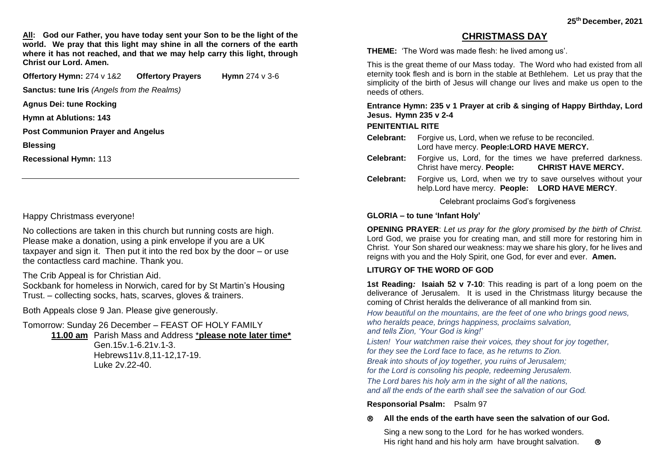**All: God our Father, you have today sent your Son to be the light of the world. We pray that this light may shine in all the corners of the earth where it has not reached, and that we may help carry this light, through Christ our Lord. Amen.**

**Offertory Hymn: 274 v 1&2 Offertory Prayers Hymn 274 v 3-6** 

**Sanctus: tune Iris** *(Angels from the Realms)*

**Agnus Dei: tune Rocking**

**Hymn at Ablutions: 143** 

**Post Communion Prayer and Angelus**

**Blessing**

**Recessional Hymn:** 113

Happy Christmass everyone!

No collections are taken in this church but running costs are high. Please make a donation, using a pink envelope if you are a UK taxpayer and sign it. Then put it into the red box by the door – or use the contactless card machine. Thank you.

The Crib Appeal is for Christian Aid.

Sockbank for homeless in Norwich, cared for by St Martin's Housing Trust. – collecting socks, hats, scarves, gloves & trainers.

Both Appeals close 9 Jan. Please give generously.

Tomorrow: Sunday 26 December – FEAST OF HOLY FAMILY

**11.00 am** Parish Mass and Address \***please note later time\*** Gen.15v.1-6.21v.1-3. Hebrews11v.8,11-12,17-19. Luke 2v.22-40.

# **CHRISTMASS DAY**

**THEME:** 'The Word was made flesh: he lived among us'.

This is the great theme of our Mass today. The Word who had existed from all eternity took flesh and is born in the stable at Bethlehem. Let us pray that the simplicity of the birth of Jesus will change our lives and make us open to the needs of others.

**Entrance Hymn: 235 v 1 Prayer at crib & singing of Happy Birthday, Lord Jesus. Hymn 235 v 2-4**

## **PENITENTIAL RITE**

- **Celebrant:** Forgive us, Lord, when we refuse to be reconciled. Lord have mercy. **People:LORD HAVE MERCY.**
- **Celebrant:** Forgive us, Lord, for the times we have preferred darkness. Christ have mercy. **People: CHRIST HAVE MERCY.**
- **Celebrant:** Forgive us, Lord, when we try to save ourselves without your help.Lord have mercy. **People: LORD HAVE MERCY**.

Celebrant proclaims God's forgiveness

### **GLORIA – to tune 'Infant Holy'**

**OPENING PRAYER**: *Let us pray for the glory promised by the birth of Christ.*  Lord God, we praise you for creating man, and still more for restoring him in Christ. Your Son shared our weakness: may we share his glory, for he lives and reigns with you and the Holy Spirit, one God, for ever and ever. **Amen.**

## **LITURGY OF THE WORD OF GOD**

**1st Reading***:* **Isaiah 52 v 7-10**: This reading is part of a long poem on the deliverance of Jerusalem. It is used in the Christmass liturgy because the coming of Christ heralds the deliverance of all mankind from sin.

*How beautiful on the mountains, are the feet of one who brings good news, who heralds peace, brings happiness, proclaims salvation, and tells Zion, 'Your God is king!'* 

*Listen! Your watchmen raise their voices, they shout for joy together, for they see the Lord face to face, as he returns to Zion.*

*Break into shouts of joy together, you ruins of Jerusalem; for the Lord is consoling his people, redeeming Jerusalem.*

*The Lord bares his holy arm in the sight of all the nations, and all the ends of the earth shall see the salvation of our God.*

### **Responsorial Psalm:** Psalm 97

### **All the ends of the earth have seen the salvation of our God.**

Sing a new song to the Lord for he has worked wonders. His right hand and his holy arm have brought salvation.  $\otimes$